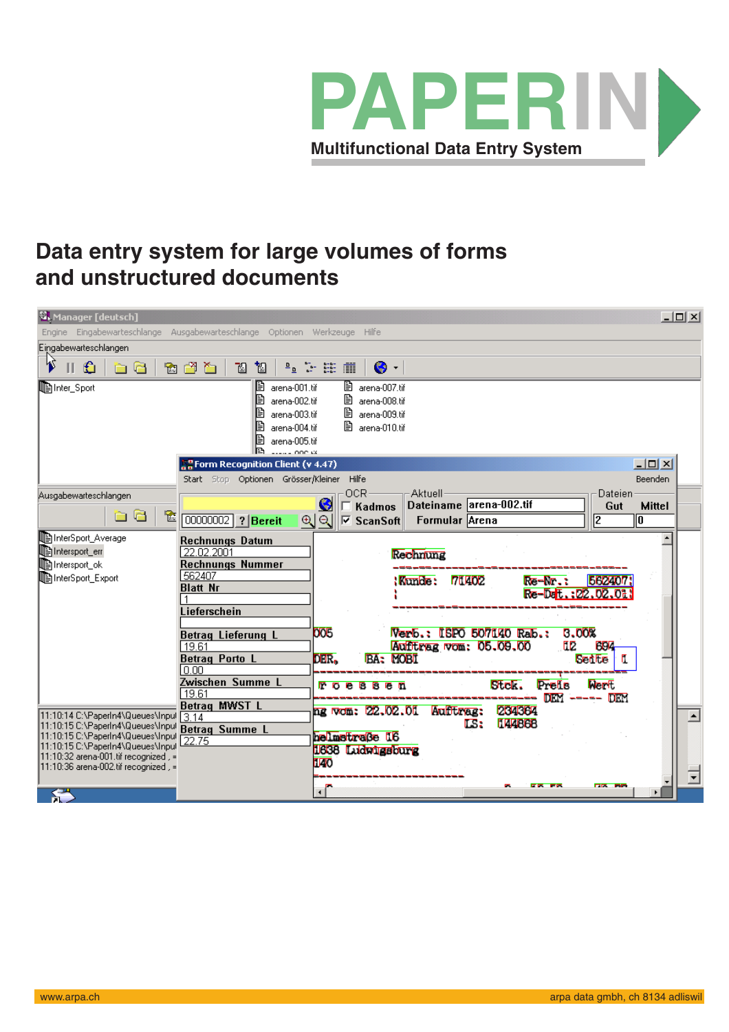

## **Data entry system for large volumes of forms and unstructured documents**

| $   \times$ $-$<br>M, Manager [deutsch]<br>Engine Eingabewarteschlange Ausgabewarteschlange Optionen Werkzeuge Hilfe |                                                                                             |                                                                                                                                                                                                                                                                                                                                                                         |
|----------------------------------------------------------------------------------------------------------------------|---------------------------------------------------------------------------------------------|-------------------------------------------------------------------------------------------------------------------------------------------------------------------------------------------------------------------------------------------------------------------------------------------------------------------------------------------------------------------------|
| Eingabewarteschlangen                                                                                                |                                                                                             |                                                                                                                                                                                                                                                                                                                                                                         |
| k<br>€<br>è C                                                                                                        | 面<br>tion to<br>ิย                                                                          | $\begin{picture}(180,10) \put(0,0){\line(1,0){15}} \put(10,0){\line(1,0){15}} \put(10,0){\line(1,0){15}} \put(10,0){\line(1,0){15}} \put(10,0){\line(1,0){15}} \put(10,0){\line(1,0){15}} \put(10,0){\line(1,0){15}} \put(10,0){\line(1,0){15}} \put(10,0){\line(1,0){15}} \put(10,0){\line(1,0){15}} \put(10,0){\line(1,0){15}} \put(10,0){\line($<br>$\bullet$ -<br>圃 |
| lenter_Sport                                                                                                         | B<br>arena-001.tif<br>arena-002.tif<br>arena-003.tif<br>arena-004.tif<br>arena-005.tif<br>B | ■ arena-007.tif<br>B<br>arena-008.tif<br>昏<br>arena-009.tif<br>图 arena-010.tif                                                                                                                                                                                                                                                                                          |
|                                                                                                                      | <b>P</b> Form Recognition Client (v 4.47)<br>Start Stop Optionen Grösser/Kleiner Hilfe      | $ \Box$ $\times$<br>Beenden                                                                                                                                                                                                                                                                                                                                             |
| Ausgabewarteschlangen                                                                                                |                                                                                             | OCR <sub>2</sub><br>-Aktuell-<br>Dateien                                                                                                                                                                                                                                                                                                                                |
| è C<br>Y.                                                                                                            | 00000002 ? Bereit                                                                           | S<br>Dateiname arena-002.tif<br>Gut<br>Kadmos<br><b>Mittel</b><br>⊕   Q     ▽ ScanSoft  <br>12<br>Formular Arena<br>ℼ                                                                                                                                                                                                                                                   |
|                                                                                                                      |                                                                                             |                                                                                                                                                                                                                                                                                                                                                                         |
| InterSport_Average<br>Intersport_err                                                                                 | <b>Rechnungs Datum</b><br>22.02.2001                                                        |                                                                                                                                                                                                                                                                                                                                                                         |
| <b>D</b> Intersport_ok                                                                                               | <b>Rechnungs Nummer</b>                                                                     | Rechnung                                                                                                                                                                                                                                                                                                                                                                |
| InterSport_Export                                                                                                    | 562407                                                                                      | <b>71402</b><br>: Kunde :<br>562407<br>Re-Nr.:                                                                                                                                                                                                                                                                                                                          |
|                                                                                                                      | <b>Blatt Nr</b>                                                                             | Re-Dalt.: 22.02.01                                                                                                                                                                                                                                                                                                                                                      |
|                                                                                                                      | Lieferschein                                                                                |                                                                                                                                                                                                                                                                                                                                                                         |
|                                                                                                                      |                                                                                             |                                                                                                                                                                                                                                                                                                                                                                         |
|                                                                                                                      | <b>Betrag Lieferung L</b>                                                                   | Verb.: ISPO 507140 Rab.:<br>3.00%<br>005                                                                                                                                                                                                                                                                                                                                |
|                                                                                                                      | 19.61<br><b>Betrag Porto L</b>                                                              | E2<br>Aufltrag vom: 05.09.00<br><b>BBK</b><br>DER.<br><b>BA: MOBI</b><br><b>Betite</b>                                                                                                                                                                                                                                                                                  |
|                                                                                                                      | 10.00                                                                                       |                                                                                                                                                                                                                                                                                                                                                                         |
|                                                                                                                      | Zwischen Summe L                                                                            | <b>Nerft</b><br><b>Stek.</b><br>Prelis<br>ГO                                                                                                                                                                                                                                                                                                                            |
|                                                                                                                      | 19.61<br><b>Betrag MWST L</b>                                                               | <b>DEM</b>                                                                                                                                                                                                                                                                                                                                                              |
| 11:10:14 C:\PaperIn4\Queues\Inpul                                                                                    | 3.14                                                                                        | Aufftmag:<br>204364<br>ng wom: 22,02.01                                                                                                                                                                                                                                                                                                                                 |
| 11:10:15 C:\PaperIn4\Queues\Inpul<br>11:10:15 C:\PaperIn4\Queues\Inpul                                               | <b>Betrag Summe L</b>                                                                       | <b>TEABBB</b><br>LS:<br><b>helmstraße I6</b>                                                                                                                                                                                                                                                                                                                            |
| 11:10:15 C:\PaperIn4\Queues\Inpul                                                                                    | 22.75                                                                                       | 1638 Ludwigsburg                                                                                                                                                                                                                                                                                                                                                        |
| 11:10:32 arena-001.tif recognized , =<br> 11:10:36 arena-002.tif recognized , =                                      |                                                                                             | <b>U40</b>                                                                                                                                                                                                                                                                                                                                                              |
|                                                                                                                      |                                                                                             |                                                                                                                                                                                                                                                                                                                                                                         |
|                                                                                                                      |                                                                                             | <b>CR FR</b><br><b>CIX BE</b><br>$\cdot$ $\overline{\phantom{0}}$                                                                                                                                                                                                                                                                                                       |